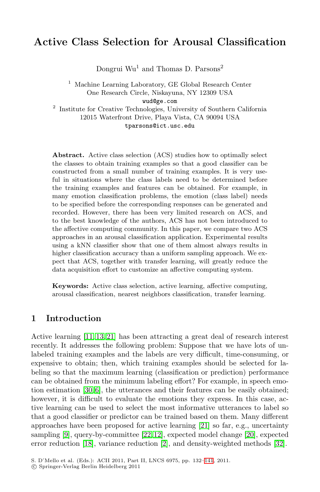# **Active Class Selection for Arousal Classification**

Dongrui  $Wu^1$  and Thomas D. Parsons<sup>2</sup>

<sup>1</sup> Machine Learning Laboratory, GE Global Research Center One Research Circle, Niskayuna, NY 12309 USA wud@ge.com

 $^{\rm 2}$  Institute for Creative Technologies, University of Southern California 12015 Waterfront Drive, Playa Vista, CA 90094 USA tparsons@ict.usc.edu

**Abstract.** Active class selection (ACS) studies how to optimally select the classes to obtain training examples so that a good classifier can be constructed from a small number of training examples. It is very useful in situations where the class labels need to be determined before the training examples and features can be obtained. For example, in many emotion classification problems, the emotion (class label) needs to be specified before the corresponding responses can be generated and recorded. However, there has been very limited research on ACS, and to the best knowledge of the authors, ACS has not been introduced to the affective computing community. In this paper, we compare two ACS approaches in an arousal classification application. Experimental results using a kNN classifier show that one of them almost always results in higher classification accuracy than a uniform sampling approach. We expect that ACS, together with transfer learning, will greatly reduce the [d](#page-9-0)ata acquisition effort to customize an affective computing system.

**Keywords:** Active class selection, active learning, affective computing, arousal classification, nearest neighbors classification, transfer learning.

## **[1](#page-8-0) Introduction**

Active learning [11, 13, 21] has been attracting a great deal of research interest recently. It addresses the following problem: Suppose that we have lots of unlabeled training examples and t[he l](#page-9-0)abels are very difficult, time-consuming, or expensive to o[btai](#page-9-2)[n;](#page-8-1) then, which training exa[mpl](#page-9-3)es should be selected for labeling so that the m[ax](#page-8-2)imum learning (classification or [pred](#page-9-4)iction) performance can be obtained from the minimum labeling effort? For example, in speech emotion estimation [30, 6], the utteran[ces](#page-9-5) and their features can be easily obtained; however, it is difficult to evaluate the emotions they express. In this case, active learning can be used to select the most informative utterances to label so that a good classifier or predictor can be trained based on them. Many different approaches have been proposed for active learning [21] so far, e.g., uncertainty sampling [9], query-by-committee [22, 12], expected model change [20], expected error reduction [18], variance reduction [2], and density-weighted methods [32].

S. D´Mello et al. (Eds.): ACII 2011, Part II, LNCS 6975, pp. 132–141, 2011.

<sup>-</sup>c Springer-Verlag Berlin Heidelberg 2011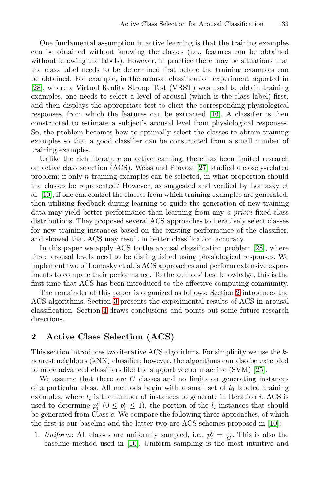One fundamental assumption in a[ctiv](#page-9-6)e learning is that the training examples can be obtained without knowing the classes (i.e., features can be obtained without knowing the labels). However, in practice there may be situations that the class label needs to be determined first before the training examples can be obtained. For example, in the arousal classification experiment reported in [28], where a Virtual Reality Stroop Test (VRST) was used to obtain training examples, one needs to select a [lev](#page-9-7)el of arousal (which is the class label) first, and then displays the appropriate test to elicit the corresponding physiological responses, from which the features can be extracted [16]. A classifier is then constructed to estimate a subject's arousal level from physiological responses. So, the problem becomes how to optimally select the classes to obtain training examples so that a good classifier can be constructed from a small number of training examples.

Unlike the rich literature on active learning, there has been limited research on active class selection (ACS). Weiss and Provost [27] studied a closely-related problem: if only n training examples can be select[ed,](#page-9-8) in what proportion should the classes be represented? However, as suggested and verified by Lomasky et al. [10], if one can control the classes from which training examples are generated, then utilizing feedback during learning to guide the generation of new training data may yield better performance than learning from any *a priori* fixed class distributions. They proposed several ACS a[ppr](#page-1-0)oaches to iteratively select classes for ne[w](#page-3-0) training instances based on the existing performance of the classifier, an[d s](#page-7-0)howed that ACS may result in better classification accuracy.

<span id="page-1-0"></span>In this paper we apply ACS to the arousal classification problem [28], where three arousal levels need to be distinguished using physiological responses. We implement two of Lomasky et al.'s ACS approaches and perform extensive experiments to compare their performance. To the authors' best knowledge, this is the first time that ACS has been introduced to the affective computing community.

The remainder of this paper is organized as follows: Section 2 introduces the ACS algorithms. Section 3 presents the experime[ntal](#page-9-9) results of ACS in arousal classification. Section 4 draws conclusions and points out some future research directions.

## **2 Active Class Selection (ACS)**

This section introduces two iterative ACS algorithms. F[or s](#page-8-3)implicity we use the knearest neighbors (kNN) classifier; however, the algorithms can also be extended to more advanced classifiers like the support vector machine (SVM) [25].

We assu[me](#page-8-3) that there are  $C$  classes and no limits on generating instances of a particular class. All methods begin with a small set of  $l_0$  labeled training examples, where  $l_i$  is the number of instances to generate in Iteration i. ACS is used to determine  $p_i^c$  ( $0 \leq p_i^c \leq 1$ ), the portion of the  $l_i$  instances that should be generated from Class c. We compare the following three approaches, of which the first is our baseline and the latter two are ACS schemes proposed in [10]:

1. *Uniform*: All classes are uniformly sampled, i.e.,  $p_i^c = \frac{1}{C}$ . This is also the baseline method used in [10]. Uniform sampling is the most intuitive and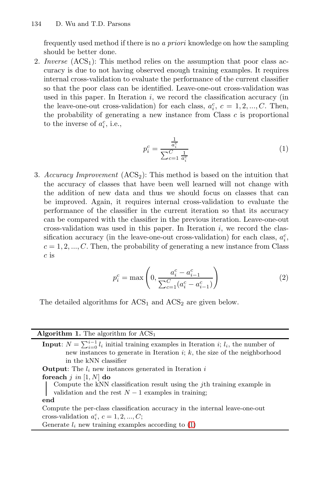#### 134 D. Wu and T.D. Parsons

frequently used method if there is no *a priori* knowledge on how the sampling should be better done.

2. *Inverse* (ACS<sub>1</sub>): This method relies on the assumption that poor class accuracy is due to not having observed enough training examples. It requires internal cross-validation to evaluate the performance of the current classifier so that the poor class can be identified. Leave-one-out cross-validation was used in this paper. In Iteration  $i$ , we record the classification accuracy (in the leave-one-out cross-validation) for each class,  $a_i^c$ ,  $c = 1, 2, ..., C$ . Then, the probability of generating a new instance from Class  $c$  is proportional to the inverse of  $a_i^c$ , i.e.,

<span id="page-2-1"></span><span id="page-2-0"></span>
$$
p_i^c = \frac{\frac{1}{a_i^c}}{\sum_{c=1}^C \frac{1}{a_i^c}}
$$
 (1)

3. *Accuracy Improvement*  $(ACS<sub>2</sub>)$ : This method is based on the intuition that the accuracy of classes that have been well learned will not change with the addition of new data and thus we should focus on classes that can be improved. Again, it requires internal cross-validation to evaluate the performance of the classifier in the current iteration so that its accuracy can be compared with the classifier in the previous iteration. Leave-one-out cross-validation was used in this paper. In Iteration  $i$ , we record the classification accuracy (in the leave-one-out cross-validation) for each class,  $a_i^c$ ,  $c = 1, 2, \dots, C$ . Then, the probability of generating a new instance from Class c is

$$
p_i^c = \max\left(0, \frac{a_i^c - a_{i-1}^c}{\sum_{c=1}^C (a_i^c - a_{i-1}^c)}\right) \tag{2}
$$

The detailed algorithms for  $ACS_1$  and  $ACS_2$  are given below.

#### **Algorithm 1.** The algorithm for  $ACS_1$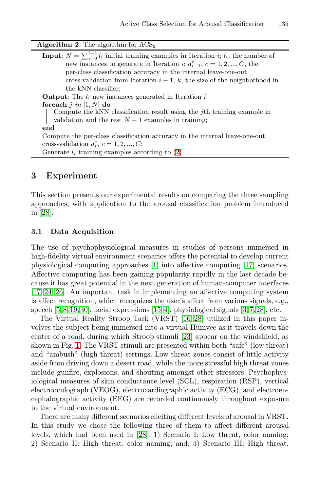#### **Algorithm 2.** The algorithm for  $\text{ACS}_2$

<span id="page-3-0"></span>

| <b>Input:</b> $N = \sum_{i=0}^{i-1} l_i$ initial training examples in Iteration <i>i</i> ; $l_i$ , the number of |
|------------------------------------------------------------------------------------------------------------------|
| new instances to generate in Iteration <i>i</i> ; $a_{i-1}^c$ , $c = 1, 2, , C$ , the                            |
| per-class classification accuracy in the internal leave-one-out                                                  |
| cross-validation from Iteration $i-1$ ; k, the size of the neighborhood in                                       |
| the kNN classifier:                                                                                              |
| <b>Output:</b> The $l_i$ new instances generated in Iteration i                                                  |
| foreach $j$ in [1, N] do                                                                                         |
| Compute the kNN classification result using the j <sup>th</sup> training example in                              |
| validation and the rest $N-1$ examples in training;                                                              |
| end                                                                                                              |
| Compute the per-class classification accuracy in the internal leave-one-out                                      |
| cross-validation $a_i^c$ , $c = 1, 2, , C$ ;                                                                     |
| Generate $l_i$ training examples according to (2)                                                                |

## **3 Experiment**

This section prese[nt](#page-8-4)s our experimental results [on](#page-9-10) comparing the three sampling approaches, with application to the arousal classification problem introduced in [28].

#### **3.1 Data Acquisition**

The use of psych[oph](#page-9-11)[ys](#page-8-5)iolo[gic](#page-9-6)[al m](#page-9-8)easures in [s](#page-8-6)[tu](#page-8-7)[dies](#page-9-8) of persons immersed in high-fidelity virtual environment scenarios offers the potential to develop current physiological computing ap[pro](#page-9-12)aches [1] into affective computing [17] scenarios. Affective computing has been gaining popularity rapidly in the last decade because it has great potential in the next generation of human-computer interfaces [17, 24, 26]. An important task in implementing an affective computing system is affect recognition, which recognizes the user's affect from various signals, e.g., speech  $[5, 8, 19, 30]$ , facial expressions  $[15, 4]$ , physiological signals  $[3, 7, 28]$ , etc.

The Virtual Reality Stroop Task (VRST) [16, 28] utilized in this paper involves the subject being immersed into a virtual Humvee as it travels down the center of a road, during which Stroop stimuli [23] appear on the windshield, as shown in Fig. 1. The VRST stimuli are presented within both "safe" (low threat) and "ambush" (high threat) settings. Low threat zones consist of little activity aside from dri[vin](#page-9-8)g down a desert road, while the more stressful high threat zones include gunfire, explosions, and shouting amongst other stressors. Psychophysiological measures of skin conductance level (SCL), respiration (RSP), vertical electrooculograph (VEOG), electrocardiographic activity (ECG), and electroencephalographic activity (EEG) are recorded continuously throughout exposure to the virtual environment.

There are many different scenarios eliciting different levels of arousal in VRST. In this study we chose the following three of them to affect different arousal levels, which had been used in [28]: 1) Scenario I: Low threat, color naming; 2) Scenario II: High threat, color naming; and, 3) Scenario III: High threat,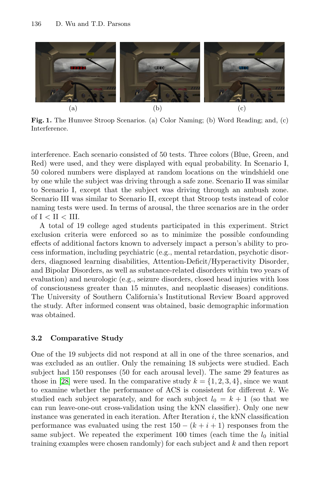#### 136 D. Wu and T.D. Parsons



**Fig. 1.** The Humvee Stroop Scenarios. (a) Color Naming; (b) Word Reading; and, (c) Interference.

interference. Each scenario consisted of 50 tests. Three colors (Blue, Green, and Red) were used, and they were displayed with equal probability. In Scenario I, 50 colored numbers were displayed at random locations on the windshield one by one while the subject was driving through a safe zone. Scenario II was similar to Scenario I, except that the subject was driving through an ambush zone. Scenario III was similar to Scenario II, except that Stroop tests instead of color naming tests were used. In terms of arousal, the three scenarios are in the order of  $I < II < III$ .

A total of 19 college aged students participated in this experiment. Strict exclusion criteria were enforced so as to minimize the possible confounding effects of additional factors known to adversely impact a person's ability to process information, including psychiatric (e.g., mental retardation, psychotic disorders, diagnosed learning disabilities, Attention-Deficit/Hyperactivity Disorder, and Bipolar Disorders, as well as substance-related disorders within two years of evaluation) and neurologic (e.g., seizure disorders, closed head injuries with loss of consciousness greater than 15 minutes, and neoplastic diseases) conditions. The University of Southern California's Institutional Review Board approved the study. After informed consent was obtained, basic demographic information was obtained.

#### **3.2 Comparative Study**

One of the 19 subjects did not respond at all in one of the three scenarios, and was excluded as an outlier. Only the remaining 18 subjects were studied. Each subject had 150 responses (50 for each arousal level). The same 29 features as those in [28] were used. In the comparative study  $k = \{1, 2, 3, 4\}$ , since we want to examine whether the performance of ACS is consistent for different  $k$ . We studied each subject separately, and for each subject  $l_0 = k + 1$  (so that we can run leave-one-out cross-validation using the kNN classifier). Only one new instance was generated in each iteration. After Iteration  $i$ , the kNN classification performance was evaluated using the rest  $150 - (k + i + 1)$  responses from the same subject. We repeated the experiment 100 times (each time the  $l_0$  initial training examples were chosen randomly) for each subject and  $k$  and then report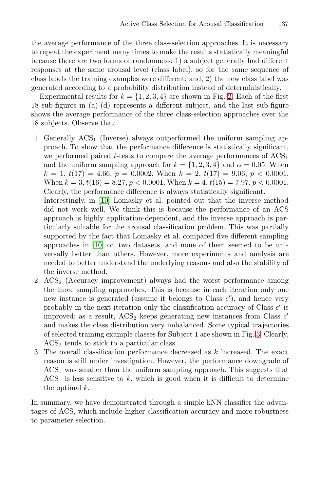the average performance of the three class-selection approaches. It is necessary to repeat the experiment many times to make the results statistically meaningful because there are two forms of randomness: 1) a subject generally had different responses at the same arousal level (class label), so for the same sequence of class labels the training examples were different; and, 2) the new class label was generated according to a probability distribution instead of deterministically.

Experimental results for  $k = \{1, 2, 3, 4\}$  are shown in Fig. 2. Each of the first 18 sub-figures in (a)-(d) represents a different subject, and the last sub-figure shows the average performance of the three class-selection approaches over the 18 subjects. Observe that:

1[.](#page-8-3) [G](#page-8-3)enerally ACS<sup>1</sup> (Inverse) always outperformed the uniform sampling approach. To show that the performance difference is statistically significant, we performed paired  $t$ -tests to compare the average performances of  $\text{ACS}_1$ and the uniform sampling approach for  $k = \{1, 2, 3, 4\}$  and  $\alpha = 0.05$ . When  $k = 1, t(17) = 4.66, p = 0.0002$ . When  $k = 2, t(17) = 9.06, p < 0.0001$ . When  $k = 3$ ,  $t(16) = 8.27$ ,  $p < 0.0001$ . When  $k = 4$ ,  $t(15) = 7.97$ ,  $p < 0.0001$ . Clearly, the performance difference is always statistically significant.

Interestingly, in [10] Lomasky et al. pointed out that the inverse method did not work well. We think this is because the performance of an ACS approach is highly application-dependent, and the inverse approach is particularly suitable for the arousal classification problem. This was partially supported by the fact that Lomasky et al. compared five different sampling approaches in [10] on two datasets, and none of them seemed to be universally better than others. However, more experiments and analysis are needed to better understand the underlying re[as](#page-7-1)ons and also the stability of the inverse method.

- 2.  $ACS<sub>2</sub>$  (Accuracy improvement) always had the worst performance among the three sampling approaches. This is because in each iteration only one new instance is generated (assume it belongs to Class  $c'$ ), and hence very probably in the next iteration only the classification accuracy of Class  $c'$  is improved; as a result,  $\text{ACS}_2$  keeps generating new instances from Class  $c'$ and makes the class distribution very imbalanced. Some typical trajectories of selected training example classes for Subject 1 are shown in Fig. 3. Clearly,  $ACS<sub>2</sub>$  tends to stick to a particular class.
- 3. The overall classification performance decreased as k increased. The exact reason is still under investigation. However, the performance downgrade of  $\text{ACS}_1$  was smaller than the uniform sampling approach. This suggests that  $\text{ACS}_1$  is less sensitive to k, which is good when it is difficult to determine the optimal k.

In summary, we have demonstrated through a simple kNN classifier the advantages of ACS, which include higher classification accuracy and more robustness to parameter selection.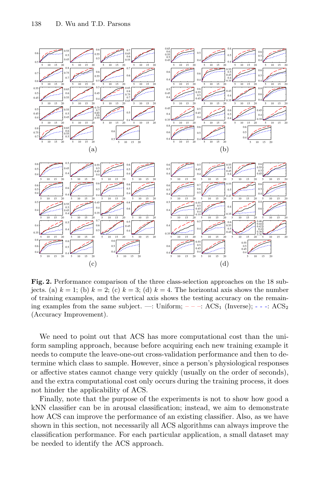

<span id="page-6-0"></span>**Fig. 2.** Performance comparison of the three class-selection approaches on the 18 subjects. (a)  $k = 1$ ; (b)  $k = 2$ ; (c)  $k = 3$ ; (d)  $k = 4$ . The horizontal axis shows the number of training examples, and the vertical axis shows the testing accuracy on the remaining examples from the same subject. —: Uniform;  $-$  -:  $ACS<sub>1</sub>$  (Inverse);  $-$  -:  $ACS<sub>2</sub>$ (Accuracy Improvement).

We need to point out that ACS has more computational cost than the uniform sampling approach, because before acquiring each new training example it needs to compute the leave-one-out cross-validation performance and then to determine which class to sample. However, since a person's physiological responses or affective states cannot change very quickly (usually on the order of seconds), and the extra computational cost only occurs during the training process, it does not hinder the applicability of ACS.

Finally, note that the purpose of the experiments is not to show how good a kNN classifier can be in arousal classification; instead, we aim to demonstrate how ACS can improve the performance of an existing classifier. Also, as we have shown in this section, not necessarily all ACS algorithms can always improve the classification performance. For each particular application, a small dataset may be needed to identify the ACS approach.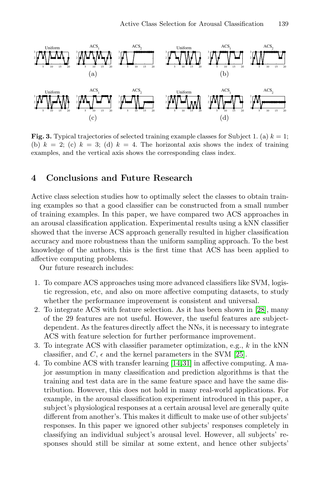<span id="page-7-1"></span>

<span id="page-7-0"></span>**Fig. 3.** Typical trajectories of selected training example classes for Subject 1. (a)  $k = 1$ ; (b)  $k = 2$ ; (c)  $k = 3$ ; (d)  $k = 4$ . The horizontal axis shows the index of training examples, and the vertical axis shows the corresponding class index.

## **4 Conclusions and Future Research**

Active class selection studies how to optimally select the classes to obtain training examples so that a good classifier can be constructed from a small number of training examples. In this paper, we have compared two ACS approaches in an arousal classification application. Experimental results using a kNN classifier showed that the inverse ACS approach generally resulted in higher classification accuracy and more robustness than the uniform sa[mp](#page-9-8)ling approach. To the best knowledge of the authors, this is the first time that ACS has been applied to affective computing problems.

Our future research includes:

- 1. To compare ACS approaches using more [adv](#page-9-9)anced classifiers like SVM, logistic regression, etc, a[nd](#page-8-8) [also](#page-9-13) on more affective computing datasets, to study whether the performance improvement is consistent and universal.
- 2. To integrate ACS with feature selection. As it has been shown in [28], many of the 29 features are not useful. However, the useful features are subjectdependent. As the features directly affect the NNs, it is necessary to integrate ACS with feature selection for further performance improvement.
- 3. To integrate ACS with classifier parameter optimization, e.g.,  $k$  in the kNN classifier, and  $C$ ,  $\epsilon$  and the kernel parameters in the SVM [25].
- 4. To combine ACS with transfer learning [14,31] in affective computing. A major assumption in many classification and prediction algorithms is that the training and test data are in the same feature space and have the same distribution. However, this does not hold in many real-world applications. For example, in the arousal classification experiment introduced in this paper, a subject's physiological responses at a certain arousal level are generally quite different from another's. This makes it difficult to make use of other subjects' responses. In this paper we ignored other subjects' responses completely in classifying an individual subject's arousal level. However, all subjects' responses should still be similar at some extent, and hence other subjects'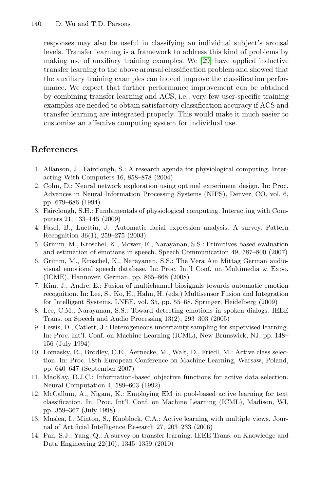#### 140 D. Wu and T.D. Parsons

responses may also be useful in classifying an individual subject's arousal levels. Transfer learning is a framework to address this kind of problems by making use of auxiliary training examples. We [29] have applied inductive transfer learning to the above arousal classification problem and showed that the auxiliary training examples can indeed improve the classification performance. We expect that further performance improvement can be obtained by combining transfer learning and ACS, i.e., very few user-specific training examples are needed to obtain satisfactory classification accuracy if ACS and transfer learning are integrated properly. This would make it much easier to customize an affective computing system for individual use.

## <span id="page-8-6"></span><span id="page-8-5"></span><span id="page-8-4"></span><span id="page-8-2"></span>**References**

- 1. Allanson, J., Fairclough, S.: A research agenda for physiological computing. Interacting With Computers 16, 858–878 (2004)
- <span id="page-8-0"></span>2. Cohn, D.: Neural network exploration using optimal experiment design. In: Proc. Advances in Neural Information Processing Systems (NIPS), Denver, CO, vol. 6, pp. 679–686 (1994)
- <span id="page-8-7"></span>3. Fairclough, S.H.: Fundamentals of physiological computing. Interacting with Computers 21, 133–145 (2009)
- 4. Fasel, B., Luettin, J.: Automatic facial expression analysis: A survey. Pattern Recognition 36(1), 259–275 (2003)
- 5. Grimm, M., Kroschel, K., Mower, E., Narayanan, S.S.: Primitives-based evaluation and estimation of emotions in speech. Speech Communication 49, 787–800 (2007)
- 6. Grimm, M., Kroschel, K., Narayanan, S.S.: The Vera Am Mittag German audiovisual emotional speech database. In: Proc. Int'l Conf. on Multimedia & Expo. (ICME), Hannover, German, pp. 865–868 (2008)
- <span id="page-8-3"></span>7. Kim, J., Andre, E.: Fusion of multichannel biosignals towards automatic emotion recognition. In: Lee, S., Ko, H., Hahn, H. (eds.) Multisensor Fusion and Integration for Intelligent Systems. LNEE, vol. 35, pp. 55–68. Springer, Heidelberg (2009)
- 8. Lee, C.M., Narayanan, S.S.: Toward detecting emotions in spoken dialogs. IEEE Trans. on Speech and Audio Processing 13(2), 293–303 (2005)
- <span id="page-8-1"></span>9. Lewis, D., Catlett, J.: Heterogeneous uncertainty sampling for supervised learning. In: Proc. Int'l. Conf. on Machine Learning (ICML), New Brunswick, NJ, pp. 148– 156 (July 1994)
- <span id="page-8-8"></span>10. Lomasky, R., Brodley, C.E., Aernecke, M., Walt, D., Friedl, M.: Active class selection. In: Proc. 18th European Conference on Machine Learning, Warsaw, Poland, pp. 640–647 (September 2007)
- 11. MacKay, D.J.C.: Information-based objective functions for active data selection. Neural Computation 4, 589–603 (1992)
- 12. McCallum, A., Nigam, K.: Employing EM in pool-based active learning for text classification. In: Proc. Int'l. Conf. on Machine Learning (ICML), Madison, WI, pp. 359–367 (July 1998)
- 13. Muslea, I., Minton, S., Knoblock, C.A.: Active learning with multiple views. Journal of Artificial Intelligence Research 27, 203–233 (2006)
- 14. Pan, S.J., Yang, Q.: A survey on transfer learning. IEEE Trans. on Knowledge and Data Engineering 22(10), 1345–1359 (2010)